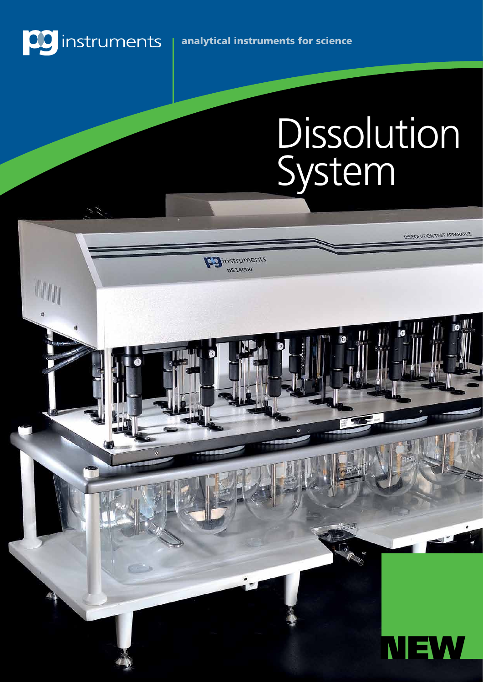

es.

Eginstruments 0514000

# Dissolution System

DISSOLUTION TEST APPARATUS

 $\mathbb{I}$ 

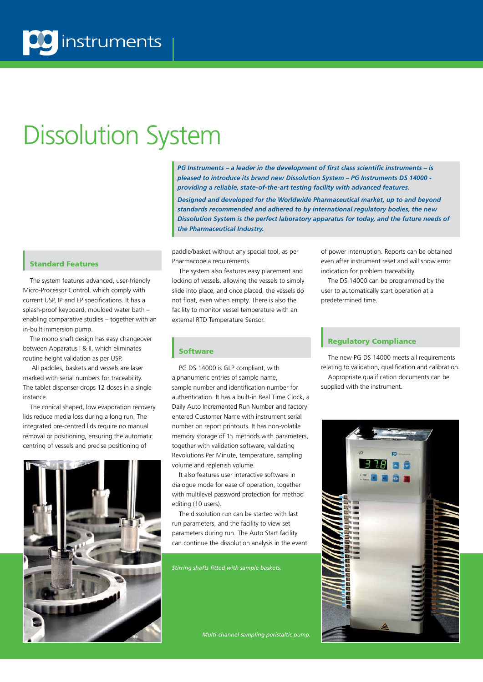# Dissolution System

Standard Features

The system features advanced, user-friendly Micro-Processor Control, which comply with current USP, IP and EP specifications. It has a splash-proof keyboard, moulded water bath – enabling comparative studies – together with an in-built immersion pump.

The mono shaft design has easy changeover between Apparatus I & II, which eliminates routine height validation as per USP.

 All paddles, baskets and vessels are laser marked with serial numbers for traceability. The tablet dispenser drops 12 doses in a single instance.

The conical shaped, low evaporation recovery lids reduce media loss during a long run. The integrated pre-centred lids require no manual removal or positioning, ensuring the automatic centring of vessels and precise positioning of



*PG Instruments – a leader in the development of first class scientific instruments – is pleased to introduce its brand new Dissolution System – PG Instruments DS 14000 providing a reliable, state-of-the-art testing facility with advanced features.*

*Designed and developed for the Worldwide Pharmaceutical market, up to and beyond standards recommended and adhered to by international regulatory bodies, the new Dissolution System is the perfect laboratory apparatus for today, and the future needs of the Pharmaceutical Industry.* 

paddle/basket without any special tool, as per Pharmacopeia requirements.

The system also features easy placement and locking of vessels, allowing the vessels to simply slide into place, and once placed, the vessels do not float, even when empty. There is also the facility to monitor vessel temperature with an external RTD Temperature Sensor.

**Software** 

PG DS 14000 is GLP compliant, with alphanumeric entries of sample name, sample number and identification number for authentication. It has a built-in Real Time Clock, a Daily Auto Incremented Run Number and factory entered Customer Name with instrument serial number on report printouts. It has non-volatile memory storage of 15 methods with parameters, together with validation software, validating Revolutions Per Minute, temperature, sampling volume and replenish volume.

It also features user interactive software in dialogue mode for ease of operation, together with multilevel password protection for method editing (10 users).

The dissolution run can be started with last run parameters, and the facility to view set parameters during run. The Auto Start facility can continue the dissolution analysis in the event

*Stirring shafts fitted with sample baskets.*

*Multi-channel sampling peristaltic pump.*

of power interruption. Reports can be obtained even after instrument reset and will show error indication for problem traceability.

The DS 14000 can be programmed by the user to automatically start operation at a predetermined time.

#### Regulatory Compliance

The new PG DS 14000 meets all requirements relating to validation, qualification and calibration. Appropriate qualification documents can be supplied with the instrument.

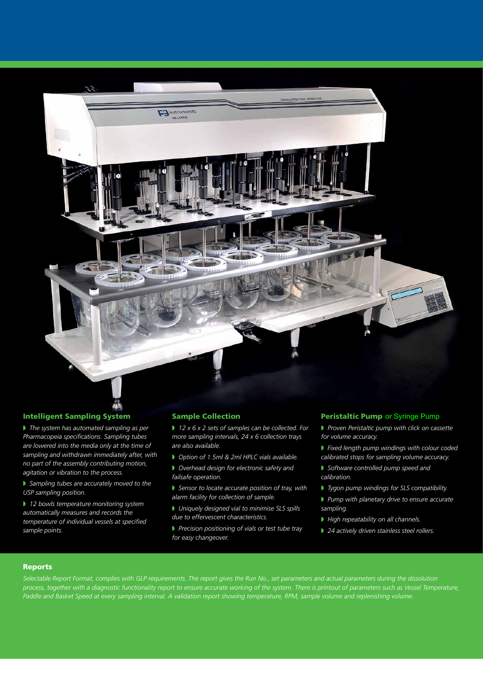

#### Intelligent Sampling System

**If** *The system has automated sampling as per Pharmacopeia specifications. Sampling tubes are lowered into the media only at the time of sampling and withdrawn immediately after, with no part of the assembly contributing motion, agitation or vibration to the process.*

**Sampling tubes are accurately moved to the** *USP sampling position.*

**12 bowls temperature monitoring system** *automatically measures and records the temperature of individual vessels at specified sample points.*

#### Sample Collection

■ 12 x 6 x 2 sets of samples can be collected. For *more sampling intervals, 24 x 6 collection trays are also available.*

- Option of 1.5ml & 2ml HPLC vials available.
- **D** Overhead design for electronic safety and *failsafe operation.*
- **Sensor to locate accurate position of tray, with** *alarm facility for collection of sample.*
- **Uniquely designed vial to minimise SLS spills** *due to effervescent characteristics.*
- **Precision positioning of vials or test tube tray** *for easy changeover.*

#### Peristaltic Pump or Syringe Pump

- **P** Proven Peristaltic pump with click on cassette *for volume accuracy.*
- **Fixed length pump windings with colour coded** *calibrated stops for sampling volume accuracy.*
- w *Software controlled pump speed and calibration.*
- **Tygon pump windings for SLS compatibility.**
- **P** Pump with planetary drive to ensure accurate *sampling.*
- **High repeatability on all channels.**
- 24 actively driven stainless steel rollers.

#### Reports

*Selectable Report Format, complies with GLP requirements. The report gives the Run No., set parameters and actual parameters during the dissolution process, together with a diagnostic functionality report to ensure accurate working of the system. There is printout of parameters such as Vessel Temperature, Paddle and Basket Speed at every sampling interval. A validation report showing temperature, RPM, sample volume and replenishing volume.*